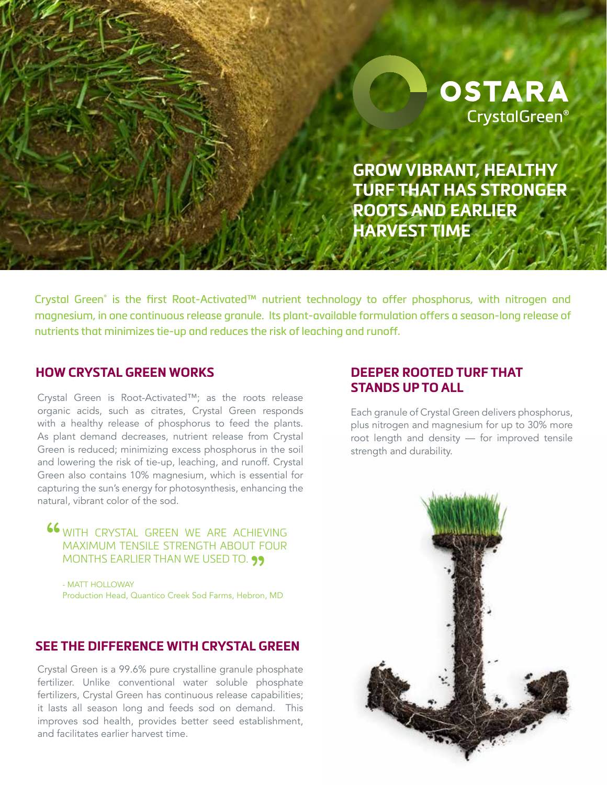

**GROW VIBRANT, HEALTHY TURF THAT HAS STRONGER ROOTS AND EARLIER HARVEST TIME**

Crystal Green® is the first Root-Activated™ nutrient technology to offer phosphorus, with nitrogen and magnesium, in one continuous release granule. Its plant-available formulation offers a season-long release of nutrients that minimizes tie-up and reduces the risk of leaching and runoff.

#### **HOW CRYSTAL GREEN WORKS**

Crystal Green is Root-Activated™; as the roots release organic acids, such as citrates, Crystal Green responds with a healthy release of phosphorus to feed the plants. As plant demand decreases, nutrient release from Crystal Green is reduced; minimizing excess phosphorus in the soil and lowering the risk of tie-up, leaching, and runoff. Crystal Green also contains 10% magnesium, which is essential for capturing the sun's energy for photosynthesis, enhancing the natural, vibrant color of the sod.

66 WITH CRYSTAL GREEN WE ARE ACHIEVING MAXIMUM TENSILE STRENGTH ABOUT FOUR MONTHS EARLIER THAN WE USED TO. 99<br>- matt holloway

- MATT HOLLOWAY Production Head, Quantico Creek Sod Farms, Hebron, MD

### **SEE THE DIFFERENCE WITH CRYSTAL GREEN**

Crystal Green is a 99.6% pure crystalline granule phosphate fertilizer. Unlike conventional water soluble phosphate fertilizers, Crystal Green has continuous release capabilities; it lasts all season long and feeds sod on demand. This improves sod health, provides better seed establishment, and facilitates earlier harvest time.

# **DEEPER ROOTED TURF THAT STANDS UP TO ALL**

Each granule of Crystal Green delivers phosphorus, plus nitrogen and magnesium for up to 30% more root length and density — for improved tensile strength and durability.